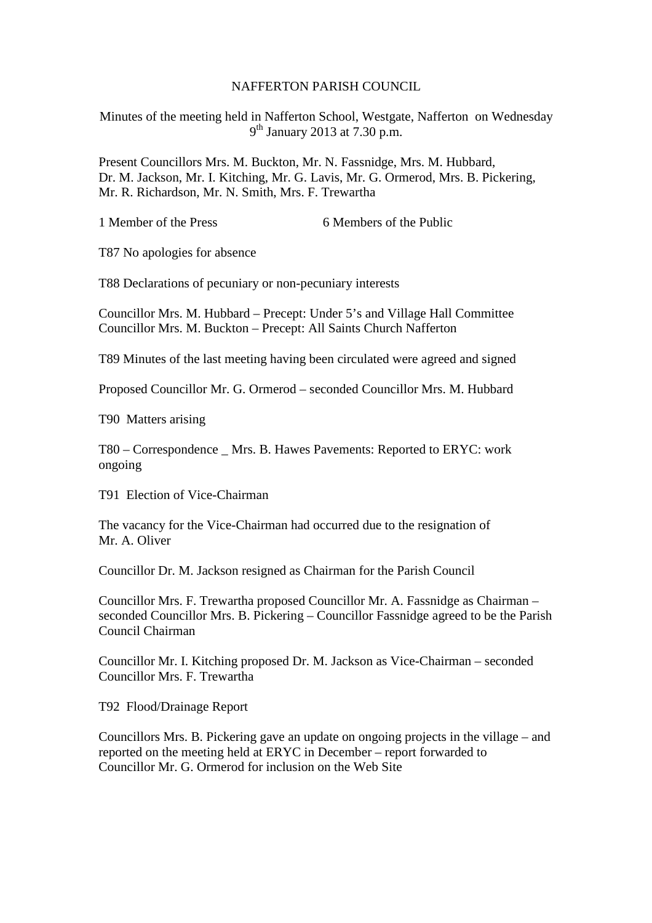## NAFFERTON PARISH COUNCIL

Minutes of the meeting held in Nafferton School, Westgate, Nafferton on Wednesday 9<sup>th</sup> January 2013 at 7.30 p.m.

Present Councillors Mrs. M. Buckton, Mr. N. Fassnidge, Mrs. M. Hubbard, Dr. M. Jackson, Mr. I. Kitching, Mr. G. Lavis, Mr. G. Ormerod, Mrs. B. Pickering, Mr. R. Richardson, Mr. N. Smith, Mrs. F. Trewartha

1 Member of the Press 6 Members of the Public

T87 No apologies for absence

T88 Declarations of pecuniary or non-pecuniary interests

Councillor Mrs. M. Hubbard – Precept: Under 5's and Village Hall Committee Councillor Mrs. M. Buckton – Precept: All Saints Church Nafferton

T89 Minutes of the last meeting having been circulated were agreed and signed

Proposed Councillor Mr. G. Ormerod – seconded Councillor Mrs. M. Hubbard

T90 Matters arising

T80 – Correspondence \_ Mrs. B. Hawes Pavements: Reported to ERYC: work ongoing

T91 Election of Vice-Chairman

The vacancy for the Vice-Chairman had occurred due to the resignation of Mr. A. Oliver

Councillor Dr. M. Jackson resigned as Chairman for the Parish Council

Councillor Mrs. F. Trewartha proposed Councillor Mr. A. Fassnidge as Chairman – seconded Councillor Mrs. B. Pickering – Councillor Fassnidge agreed to be the Parish Council Chairman

Councillor Mr. I. Kitching proposed Dr. M. Jackson as Vice-Chairman – seconded Councillor Mrs. F. Trewartha

T92 Flood/Drainage Report

Councillors Mrs. B. Pickering gave an update on ongoing projects in the village – and reported on the meeting held at ERYC in December – report forwarded to Councillor Mr. G. Ormerod for inclusion on the Web Site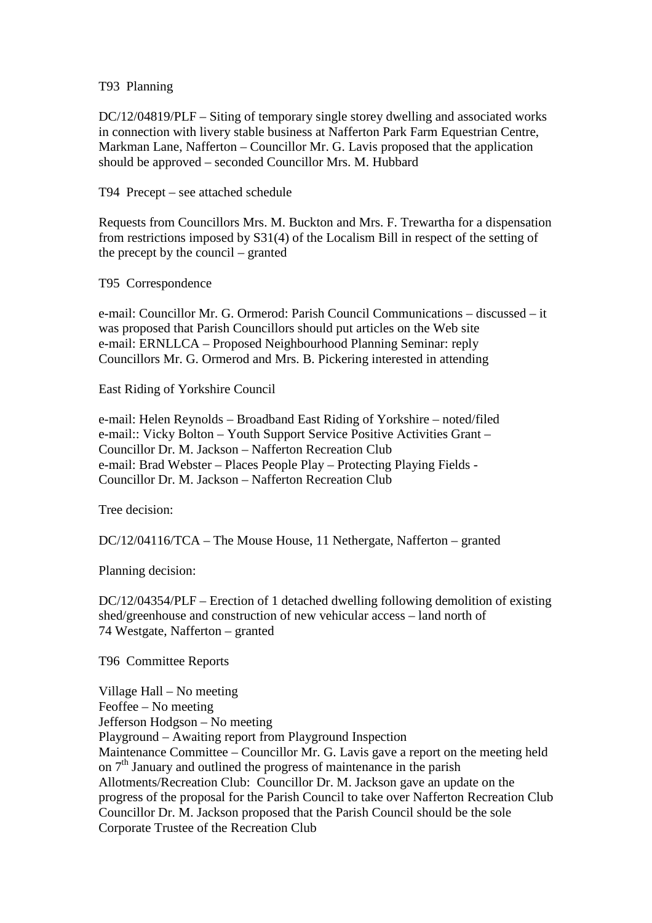## T93 Planning

DC/12/04819/PLF – Siting of temporary single storey dwelling and associated works in connection with livery stable business at Nafferton Park Farm Equestrian Centre, Markman Lane, Nafferton – Councillor Mr. G. Lavis proposed that the application should be approved – seconded Councillor Mrs. M. Hubbard

T94 Precept – see attached schedule

Requests from Councillors Mrs. M. Buckton and Mrs. F. Trewartha for a dispensation from restrictions imposed by S31(4) of the Localism Bill in respect of the setting of the precept by the council – granted

T95 Correspondence

e-mail: Councillor Mr. G. Ormerod: Parish Council Communications – discussed – it was proposed that Parish Councillors should put articles on the Web site e-mail: ERNLLCA – Proposed Neighbourhood Planning Seminar: reply Councillors Mr. G. Ormerod and Mrs. B. Pickering interested in attending

East Riding of Yorkshire Council

e-mail: Helen Reynolds – Broadband East Riding of Yorkshire – noted/filed e-mail:: Vicky Bolton – Youth Support Service Positive Activities Grant – Councillor Dr. M. Jackson – Nafferton Recreation Club e-mail: Brad Webster – Places People Play – Protecting Playing Fields - Councillor Dr. M. Jackson – Nafferton Recreation Club

Tree decision:

DC/12/04116/TCA – The Mouse House, 11 Nethergate, Nafferton – granted

Planning decision:

DC/12/04354/PLF – Erection of 1 detached dwelling following demolition of existing shed/greenhouse and construction of new vehicular access – land north of 74 Westgate, Nafferton – granted

T96 Committee Reports

Village Hall – No meeting Feoffee – No meeting Jefferson Hodgson – No meeting Playground – Awaiting report from Playground Inspection Maintenance Committee – Councillor Mr. G. Lavis gave a report on the meeting held on  $7<sup>th</sup>$  January and outlined the progress of maintenance in the parish Allotments/Recreation Club: Councillor Dr. M. Jackson gave an update on the progress of the proposal for the Parish Council to take over Nafferton Recreation Club Councillor Dr. M. Jackson proposed that the Parish Council should be the sole Corporate Trustee of the Recreation Club